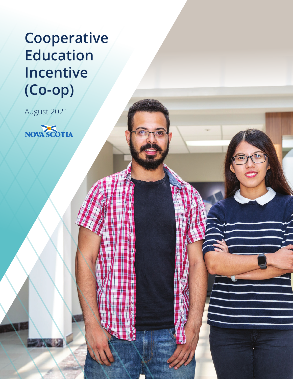# **Cooperative Education Incentive (Co-op)**

 $\overline{\text{N}}$ 

August 2021

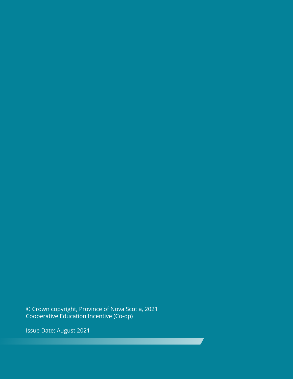© Crown copyright, Province of Nova Scotia, 2021 Cooperative Education Incentive (Co-op)

Issue Date: August 2021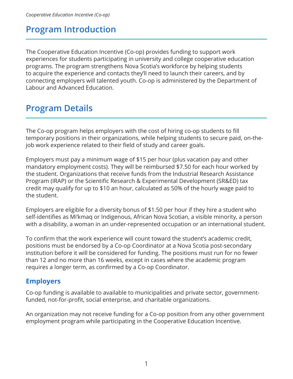## **Program Introduction**

The Cooperative Education Incentive (Co-op) provides funding to support work experiences for students participating in university and college cooperative education programs. The program strengthens Nova Scotia's workforce by helping students to acquire the experience and contacts they'll need to launch their careers, and by connecting employers will talented youth. Co-op is administered by the Department of Labour and Advanced Education.

# **Program Details**

The Co-op program helps employers with the cost of hiring co-op students to fill temporary positions in their organizations, while helping students to secure paid, on-thejob work experience related to their field of study and career goals.

Employers must pay a minimum wage of \$15 per hour (plus vacation pay and other mandatory employment costs). They will be reimbursed \$7.50 for each hour worked by the student. Organizations that receive funds from the Industrial Research Assistance Program (IRAP) or the Scientific Research & Experimental Development (SR&ED) tax credit may qualify for up to \$10 an hour, calculated as 50% of the hourly wage paid to the student.

Employers are eligible for a diversity bonus of \$1.50 per hour if they hire a student who self-identifies as Mi'kmaq or Indigenous, African Nova Scotian, a visible minority, a person with a disability, a woman in an under-represented occupation or an international student.

To confirm that the work experience will count toward the student's academic credit, positions must be endorsed by a Co-op Coordinator at a Nova Scotia post-secondary institution before it will be considered for funding. The positions must run for no fewer than 12 and no more than 16 weeks, except in cases where the academic program requires a longer term, as confirmed by a Co-op Coordinator.

### **Employers**

Co-op funding is available to available to municipalities and private sector, governmentfunded, not-for-profit, social enterprise, and charitable organizations.

An organization may not receive funding for a Co-op position from any other government employment program while participating in the Cooperative Education Incentive.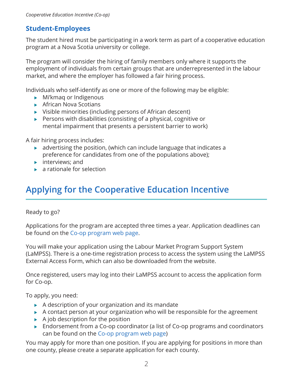#### **Student-Employees**

The student hired must be participating in a work term as part of a cooperative education program at a Nova Scotia university or college.

The program will consider the hiring of family members only where it supports the employment of individuals from certain groups that are underrepresented in the labour market, and where the employer has followed a fair hiring process.

Individuals who self-identify as one or more of the following may be eligible:

- Mi'kmaq or Indigenous
- ▶ African Nova Scotians
- Visible minorities (including persons of African descent)
- $\blacktriangleright$  Persons with disabilities (consisting of a physical, cognitive or mental impairment that presents a persistent barrier to work)

A fair hiring process includes:

- $\rightarrow$  advertising the position, (which can include language that indicates a preference for candidates from one of the populations above);
- $\blacktriangleright$  interviews; and
- $\blacktriangleright$  a rationale for selection

# **Applying for the Cooperative Education Incentive**

Ready to go?

Applications for the program are accepted three times a year. Application deadlines can be found on the [Co-op program web page](https://novascotia.ca/programs/co-op-education-incentive/).

You will make your application using the Labour Market Program Support System (LaMPSS). There is a one-time registration process to access the system using the LaMPSS External Access Form, which can also be downloaded from the website.

Once registered, users may log into their LaMPSS account to access the application form for Co-op.

To apply, you need:

- $\triangleright$  A description of your organization and its mandate
- $\triangleright$  A contact person at your organization who will be responsible for the agreement
- $\blacktriangleright$  A job description for the position
- ▶ Endorsement from a Co-op coordinator (a list of Co-op programs and coordinators can be found on the [Co-op program web page\)](https://novascotia.ca/programs/co-op-education-incentive/)

You may apply for more than one position. If you are applying for positions in more than one county, please create a separate application for each county.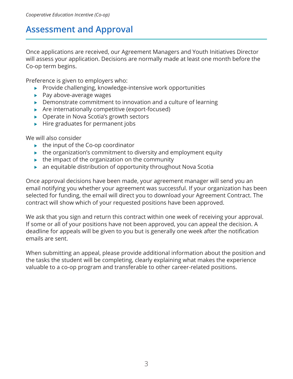## **Assessment and Approval**

Once applications are received, our Agreement Managers and Youth Initiatives Director will assess your application. Decisions are normally made at least one month before the Co-op term begins.

Preference is given to employers who:

- $\triangleright$  Provide challenging, knowledge-intensive work opportunities
- $\blacktriangleright$  Pay above-average wages
- $\triangleright$  Demonstrate commitment to innovation and a culture of learning
- ▶ Are internationally competitive (export-focused)
- ▶ Operate in Nova Scotia's growth sectors
- $\blacktriangleright$  Hire graduates for permanent jobs

We will also consider

- $\blacktriangleright$  the input of the Co-op coordinator
- $\blacktriangleright$  the organization's commitment to diversity and employment equity
- $\triangleright$  the impact of the organization on the community
- $\triangleright$  an equitable distribution of opportunity throughout Nova Scotia

Once approval decisions have been made, your agreement manager will send you an email notifying you whether your agreement was successful. If your organization has been selected for funding, the email will direct you to download your Agreement Contract. The contract will show which of your requested positions have been approved.

We ask that you sign and return this contract within one week of receiving your approval. If some or all of your positions have not been approved, you can appeal the decision. A deadline for appeals will be given to you but is generally one week after the notification emails are sent.

When submitting an appeal, please provide additional information about the position and the tasks the student will be completing, clearly explaining what makes the experience valuable to a co-op program and transferable to other career-related positions.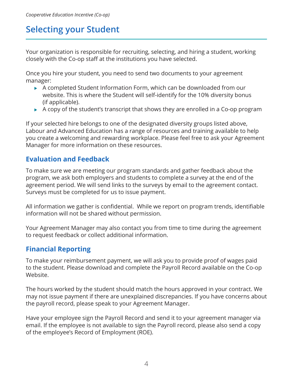# **Selecting your Student**

Your organization is responsible for recruiting, selecting, and hiring a student, working closely with the Co-op staff at the institutions you have selected.

Once you hire your student, you need to send two documents to your agreement manager:

- A completed Student Information Form, which can be downloaded from our website. This is where the Student will self-identify for the 10% diversity bonus (if applicable).
- $\blacktriangleright$  A copy of the student's transcript that shows they are enrolled in a Co-op program

If your selected hire belongs to one of the designated diversity groups listed above, Labour and Advanced Education has a range of resources and training available to help you create a welcoming and rewarding workplace. Please feel free to ask your Agreement Manager for more information on these resources.

#### **Evaluation and Feedback**

To make sure we are meeting our program standards and gather feedback about the program, we ask both employers and students to complete a survey at the end of the agreement period. We will send links to the surveys by email to the agreement contact. Surveys must be completed for us to issue payment.

All information we gather is confidential. While we report on program trends, identifiable information will not be shared without permission.

Your Agreement Manager may also contact you from time to time during the agreement to request feedback or collect additional information.

### **Financial Reporting**

To make your reimbursement payment, we will ask you to provide proof of wages paid to the student. Please download and complete the Payroll Record available on the Co-op Website.

The hours worked by the student should match the hours approved in your contract. We may not issue payment if there are unexplained discrepancies. If you have concerns about the payroll record, please speak to your Agreement Manager.

Have your employee sign the Payroll Record and send it to your agreement manager via email. If the employee is not available to sign the Payroll record, please also send a copy of the employee's Record of Employment (ROE).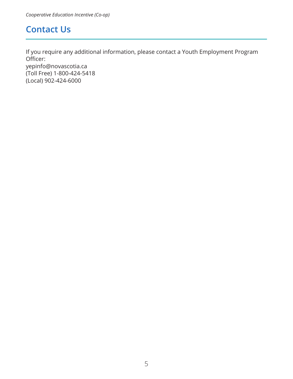## **Contact Us**

If you require any additional information, please contact a Youth Employment Program Officer:

yepinfo@novascotia.ca (Toll Free) 1-800-424-5418 (Local) 902-424-6000